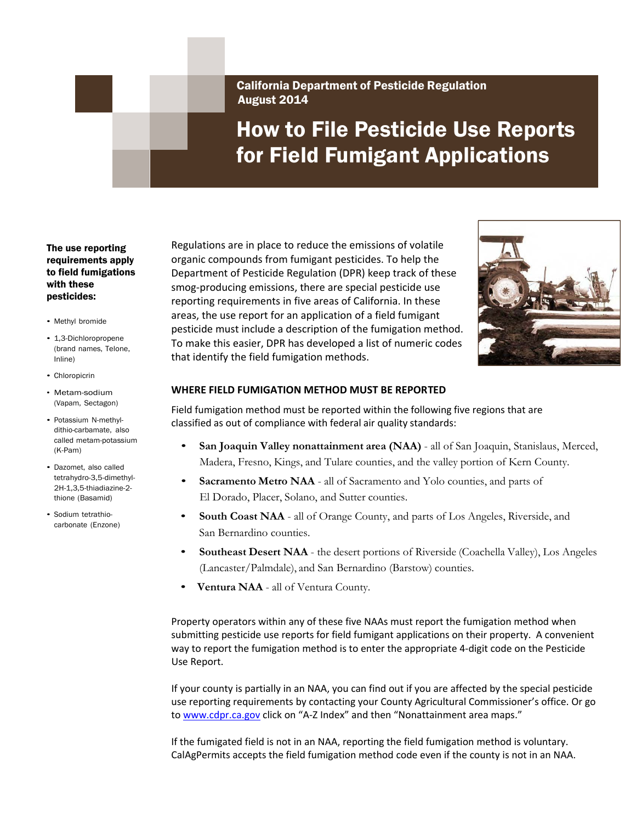California Department of Pesticide Regulation August 2014

# How to File Pesticide Use Reports for Field Fumigant Applications

### The use reporting requirements apply to field fumigations with these pesticides:

- Methyl bromide
- 1,3-Dichloropropene (brand names, Telone, Inline)
- Chloropicrin
- Metam-sodium (Vapam, Sectagon)
- Potassium N-methyldithio-carbamate, also called metam-potassium (K-Pam)
- Dazomet, also called tetrahydro-3,5-dimethyl-2H-1,3,5-thiadiazine-2 thione (Basamid)
- Sodium tetrathiocarbonate (Enzone)

 Regulations are in place to reduce the emissions of volatile organic compounds from fumigant pesticides. To help the Department of Pesticide Regulation (DPR) keep track of these smog‐producing emissions, there are special pesticide use reporting requirements in five areas of California. In these areas, the use report for an application of a field fumigant pesticide must include a description of the fumigation method. To make this easier, DPR has developed a list of numeric codes that identify the field fumigation methods.



# **WHERE FIELD FUMIGATION METHOD MUST BE REPORTED**

 Field fumigation method must be reported within the following five regions that are classified as out of compliance with federal air quality standards:

- **San Joaquin Valley nonattainment area (NAA)**  all of San Joaquin, Stanislaus, Merced, Madera, Fresno, Kings, and Tulare counties, and the valley portion of Kern County.
- **Sacramento Metro NAA**  all of Sacramento and Yolo counties, and parts of El Dorado, Placer, Solano, and Sutter counties.
- **South Coast NAA**  all of Orange County, and parts of Los Angeles, Riverside, and San Bernardino counties.
- **Southeast Desert NAA**  the desert portions of Riverside (Coachella Valley), Los Angeles (Lancaster/Palmdale), and San Bernardino (Barstow) counties.
- **Ventura NAA**  all of Ventura County.

 Property operators within any of these five NAAs must report the fumigation method when submitting pesticide use reports for field fumigant applications on their property. A convenient way to report the fumigation method is to enter the appropriate 4‐digit code on the Pesticide Use Report.

 If your county is partially in an NAA, you can find out if you are affected by the special pesticide use reporting requirements by contacting your County Agricultural Commissioner's office. Or go to www.cdpr.ca.gov click on "A-Z Index" and then "Nonattainment area maps."

 If the fumigated field is not in an NAA, reporting the field fumigation method is voluntary. CalAgPermits accepts the field fumigation method code even if the county is not in an NAA.